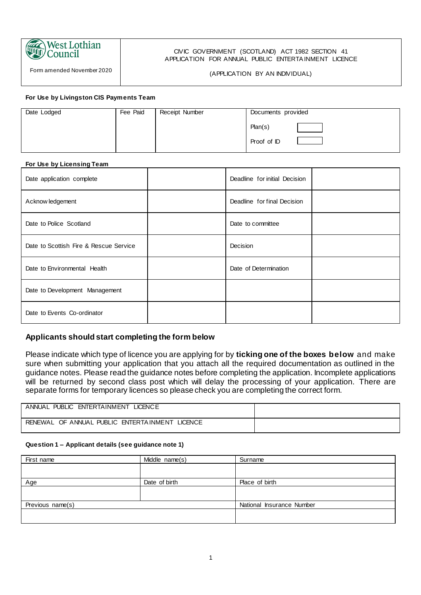

Form amended November 2020

#### CIVIC GOVERNMENT (SCOTLAND) ACT 1982 SECTION 41 APPLICATION FOR ANNUAL PUBLIC ENTERTA INMENT LICENCE

#### (APPLICATION BY AN INDIVIDUAL)

#### **For Use by Livingston CIS Payments Team**

| Date Lodged | Fee Paid | Receipt Number | Documents provided |
|-------------|----------|----------------|--------------------|
|             |          |                | Plan(s)            |
|             |          |                | Proof of ID        |

#### **For Use by Licensing Team**

| Date application complete              | Deadline for initial Decision |  |
|----------------------------------------|-------------------------------|--|
| Acknow ledgement                       | Deadline for final Decision   |  |
| Date to Police Scotland                | Date to committee             |  |
| Date to Scottish Fire & Rescue Service | Decision                      |  |
| Date to Environmental Health           | Date of Determination         |  |
| Date to Development Management         |                               |  |
| Date to Events Co-ordinator            |                               |  |

#### **Applicants should start completing the form below**

Please indicate which type of licence you are applying for by **ticking one of the boxes below** and make sure when submitting your application that you attach all the required documentation as outlined in the guidance notes. Please read the guidance notes before completing the application. Incomplete applications will be returned by second class post which will delay the processing of your application. There are separate forms for temporary licences so please check you are completing the correct form.

| ANNUAL PUBLIC ENTERTAINMENT<br>LICENC E                  |  |
|----------------------------------------------------------|--|
| RENEWAL OF ANNUAL PUBLIC ENTERTAINMENT<br><b>LICENCE</b> |  |

#### **Question 1 – Applicant details (see guidance note 1)**

| First name       | Middle name(s) | Surname                   |
|------------------|----------------|---------------------------|
|                  |                |                           |
| Age              | Date of birth  | Place of birth            |
|                  |                |                           |
| Previous name(s) |                | National Insurance Number |
|                  |                |                           |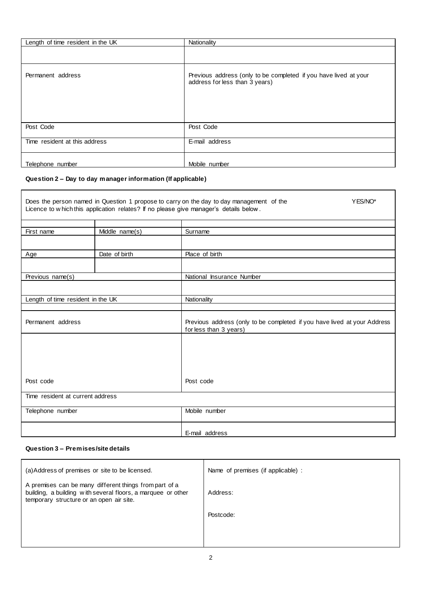| Length of time resident in the UK | Nationality                                                                                        |
|-----------------------------------|----------------------------------------------------------------------------------------------------|
|                                   |                                                                                                    |
| Permanent address                 | Previous address (only to be completed if you have lived at your<br>address for less than 3 years) |
| Post Code                         | Post Code                                                                                          |
| Time resident at this address     | E-mail address                                                                                     |
| Telephone number                  | Mobile number                                                                                      |

#### **Question 2 – Day to day manager information (If applicable)**

 $\mathbf{r}$ 

|                                   |                | Does the person named in Question 1 propose to carry on the day to day management of the<br>YES/NO*<br>Licence to w hich this application relates? If no please give manager's details below. |
|-----------------------------------|----------------|-----------------------------------------------------------------------------------------------------------------------------------------------------------------------------------------------|
|                                   |                |                                                                                                                                                                                               |
| First name                        | Middle name(s) | Surname                                                                                                                                                                                       |
|                                   |                |                                                                                                                                                                                               |
| Age                               | Date of birth  | Place of birth                                                                                                                                                                                |
|                                   |                |                                                                                                                                                                                               |
| Previous name(s)                  |                | National Insurance Number                                                                                                                                                                     |
|                                   |                |                                                                                                                                                                                               |
| Length of time resident in the UK |                | <b>Nationality</b>                                                                                                                                                                            |
|                                   |                |                                                                                                                                                                                               |
| Permanent address                 |                | Previous address (only to be completed if you have lived at your Address<br>for less than 3 years)                                                                                            |
|                                   |                |                                                                                                                                                                                               |
|                                   |                |                                                                                                                                                                                               |
|                                   |                |                                                                                                                                                                                               |
| Post code                         |                | Post code                                                                                                                                                                                     |
| Time resident at current address  |                |                                                                                                                                                                                               |
| Telephone number                  |                | Mobile number                                                                                                                                                                                 |
|                                   |                | E-mail address                                                                                                                                                                                |

#### **Question 3 – Premises/site details**

| (a) Address of premises or site to be licensed.                                                                                                                    | Name of premises (if applicable) : |
|--------------------------------------------------------------------------------------------------------------------------------------------------------------------|------------------------------------|
| A premises can be many different things from part of a<br>building, a building with several floors, a marquee or other<br>temporary structure or an open air site. | Address:                           |
|                                                                                                                                                                    | Postcode:                          |
|                                                                                                                                                                    |                                    |
|                                                                                                                                                                    |                                    |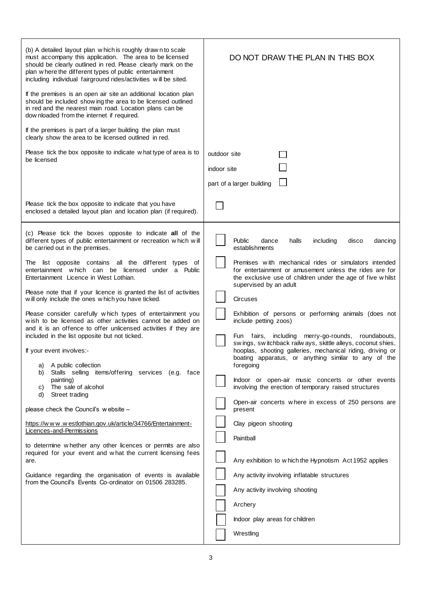| (b) A detailed layout plan w hich is roughly drawn to scale<br>must accompany this application. The area to be licensed<br>should be clearly outlined in red. Please clearly mark on the<br>plan where the different types of public entertainment<br>including individual fairground rides/activities will be sited.<br>If the premises is an open air site an additional location plan<br>should be included show ing the area to be licensed outlined | DO NOT DRAW THE PLAN IN THIS BOX                                                                                                                                                                                                                 |
|----------------------------------------------------------------------------------------------------------------------------------------------------------------------------------------------------------------------------------------------------------------------------------------------------------------------------------------------------------------------------------------------------------------------------------------------------------|--------------------------------------------------------------------------------------------------------------------------------------------------------------------------------------------------------------------------------------------------|
| in red and the nearest main road. Location plans can be<br>dow nloaded from the internet if required.                                                                                                                                                                                                                                                                                                                                                    |                                                                                                                                                                                                                                                  |
| If the premises is part of a larger building the plan must<br>clearly show the area to be licensed outlined in red.                                                                                                                                                                                                                                                                                                                                      |                                                                                                                                                                                                                                                  |
| Please tick the box opposite to indicate what type of area is to<br>be licensed                                                                                                                                                                                                                                                                                                                                                                          | outdoor site<br>indoor site                                                                                                                                                                                                                      |
|                                                                                                                                                                                                                                                                                                                                                                                                                                                          | part of a larger building                                                                                                                                                                                                                        |
| Please tick the box opposite to indicate that you have<br>enclosed a detailed layout plan and location plan (if required).                                                                                                                                                                                                                                                                                                                               |                                                                                                                                                                                                                                                  |
| (c) Please tick the boxes opposite to indicate all of the<br>different types of public entertainment or recreation which will<br>be carried out in the premises.                                                                                                                                                                                                                                                                                         | <b>Public</b><br>including<br>dance<br>halls<br>disco<br>dancing<br>establishments                                                                                                                                                               |
| The list opposite contains all the different types of<br>entertainment which can be licensed under a Public<br>Entertainment Licence in West Lothian.                                                                                                                                                                                                                                                                                                    | Premises with mechanical rides or simulators intended<br>for entertainment or amusement unless the rides are for<br>the exclusive use of children under the age of five whilst<br>supervised by an adult                                         |
| Please note that if your licence is granted the list of activities<br>will only include the ones which you have ticked.                                                                                                                                                                                                                                                                                                                                  | <b>Circuses</b>                                                                                                                                                                                                                                  |
| Please consider carefully which types of entertainment you<br>wish to be licensed as other activities cannot be added on<br>and it is an offence to offer unlicensed activities if they are                                                                                                                                                                                                                                                              | Exhibition of persons or performing animals (does not<br>include petting zoos)                                                                                                                                                                   |
| included in the list opposite but not ticked.<br>If your event involves:-                                                                                                                                                                                                                                                                                                                                                                                | fairs,<br>including<br>merry-go-rounds, roundabouts,<br>Fun<br>swings, switchback railways, skittle alleys, coconut shies,<br>hooplas, shooting galleries, mechanical riding, driving or<br>boating apparatus, or anything similar to any of the |
| A public collection<br>a)<br>Stalls selling items/offering services (e.g. face<br>b)                                                                                                                                                                                                                                                                                                                                                                     | foregoing                                                                                                                                                                                                                                        |
| painting)<br>The sale of alcohol<br>C)<br>d)<br>Street trading                                                                                                                                                                                                                                                                                                                                                                                           | Indoor or open-air music concerts or other events<br>involving the erection of temporary raised structures                                                                                                                                       |
| please check the Council's website -                                                                                                                                                                                                                                                                                                                                                                                                                     | Open-air concerts where in excess of 250 persons are<br>present                                                                                                                                                                                  |
| https://www.westlothian.gov.uk/article/34766/Entertainment-<br>Licences-and-Permissions                                                                                                                                                                                                                                                                                                                                                                  | Clay pigeon shooting                                                                                                                                                                                                                             |
| to determine whether any other licences or permits are also                                                                                                                                                                                                                                                                                                                                                                                              | Paintball                                                                                                                                                                                                                                        |
| required for your event and what the current licensing fees<br>are.                                                                                                                                                                                                                                                                                                                                                                                      | Any exhibition to which the Hypnotism Act 1952 applies                                                                                                                                                                                           |
| Guidance regarding the organisation of events is available<br>from the Council's Events Co-ordinator on 01506 283285.                                                                                                                                                                                                                                                                                                                                    | Any activity involving inflatable structures                                                                                                                                                                                                     |
|                                                                                                                                                                                                                                                                                                                                                                                                                                                          | Any activity involving shooting                                                                                                                                                                                                                  |
|                                                                                                                                                                                                                                                                                                                                                                                                                                                          | Archery<br>Indoor play areas for children                                                                                                                                                                                                        |
|                                                                                                                                                                                                                                                                                                                                                                                                                                                          | Wrestling                                                                                                                                                                                                                                        |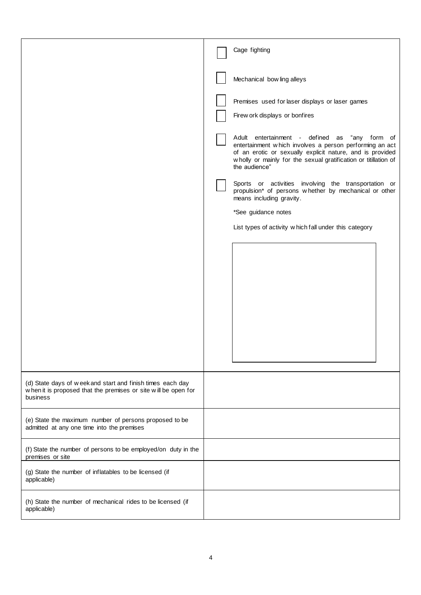|                                                                                                                                          | Cage fighting                                                                                                                                                                                                                                             |
|------------------------------------------------------------------------------------------------------------------------------------------|-----------------------------------------------------------------------------------------------------------------------------------------------------------------------------------------------------------------------------------------------------------|
|                                                                                                                                          | Mechanical bow ling alleys                                                                                                                                                                                                                                |
|                                                                                                                                          | Premises used for laser displays or laser games<br>Firew ork displays or bonfires                                                                                                                                                                         |
|                                                                                                                                          | Adult entertainment - defined as "any form of<br>entertainment which involves a person performing an act<br>of an erotic or sexually explicit nature, and is provided<br>wholly or mainly for the sexual gratification or titillation of<br>the audience" |
|                                                                                                                                          | Sports or activities involving the transportation or<br>propulsion* of persons whether by mechanical or other<br>means including gravity.                                                                                                                 |
|                                                                                                                                          | *See guidance notes                                                                                                                                                                                                                                       |
|                                                                                                                                          | List types of activity which fall under this category                                                                                                                                                                                                     |
|                                                                                                                                          |                                                                                                                                                                                                                                                           |
|                                                                                                                                          |                                                                                                                                                                                                                                                           |
| (d) State days of week and start and finish times each day<br>when it is proposed that the premises or site will be open for<br>business |                                                                                                                                                                                                                                                           |
| (e) State the maximum number of persons proposed to be<br>admitted at any one time into the premises                                     |                                                                                                                                                                                                                                                           |
| (f) State the number of persons to be employed/on duty in the<br>premises or site                                                        |                                                                                                                                                                                                                                                           |
| (g) State the number of inflatables to be licensed (if<br>applicable)                                                                    |                                                                                                                                                                                                                                                           |
| (h) State the number of mechanical rides to be licensed (if<br>applicable)                                                               |                                                                                                                                                                                                                                                           |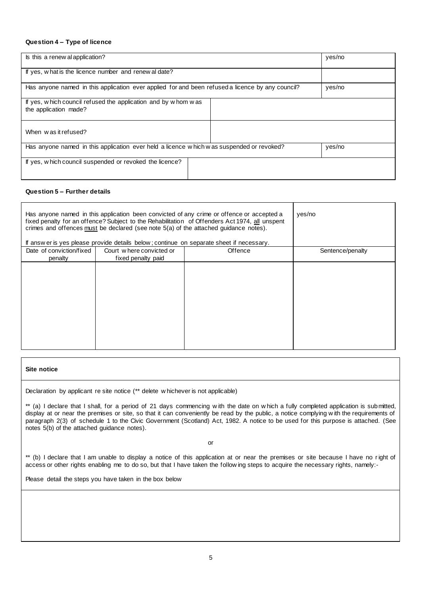#### **Question 4 – Type of licence**

| Is this a renew al application?                                                                  |  | yes/no |
|--------------------------------------------------------------------------------------------------|--|--------|
| If yes, what is the licence number and renew al date?                                            |  |        |
| Has anyone named in this application ever applied for and been refused a licence by any council? |  | yes/no |
| If yes, which council refused the application and by whom was<br>the application made?           |  |        |
| When was it refused?                                                                             |  |        |
| Has anyone named in this application ever held a licence which was suspended or revoked?         |  | yes/no |
| If yes, w hich council suspended or revoked the licence?                                         |  |        |

#### **Question 5 – Further details**

| Has anyone named in this application been convicted of any crime or offence or accepted a<br>fixed penalty for an offence? Subject to the Rehabilitation of Offenders Act 1974, all unspent<br>crimes and offences must be declared (see note 5(a) of the attached guidance notes).<br>If answ er is yes please provide details below; continue on separate sheet if necessary. |                                                |         | yes/no           |
|---------------------------------------------------------------------------------------------------------------------------------------------------------------------------------------------------------------------------------------------------------------------------------------------------------------------------------------------------------------------------------|------------------------------------------------|---------|------------------|
| Date of conviction/fixed<br>penalty                                                                                                                                                                                                                                                                                                                                             | Court where convicted or<br>fixed penalty paid | Offence | Sentence/penalty |
|                                                                                                                                                                                                                                                                                                                                                                                 |                                                |         |                  |

#### **Site notice**

Declaration by applicant re site notice (\*\* delete w hichever is not applicable)

\*\* (a) I declare that I shall, for a period of 21 days commencing w ith the date on w hich a fully completed application is submitted, display at or near the premises or site, so that it can conveniently be read by the public, a notice complying w ith the requirements of paragraph 2(3) of schedule 1 to the Civic Government (Scotland) Act, 1982. A notice to be used for this purpose is attached. (See notes 5(b) of the attached guidance notes).

or

\*\* (b) I declare that I am unable to display a notice of this application at or near the premises or site because I have no right of access or other rights enabling me to do so, but that I have taken the follow ing steps to acquire the necessary rights, namely:-

Please detail the steps you have taken in the box below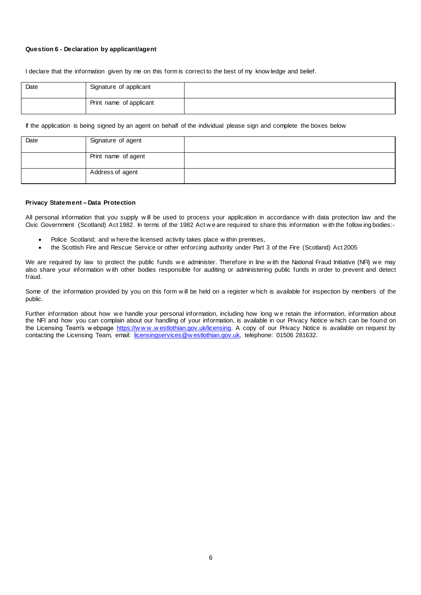#### **Question 6 - Declaration by applicant/agent**

I declare that the information given by me on this form is correct to the best of my know ledge and belief.

| Date | Signature of applicant  |  |
|------|-------------------------|--|
|      | Print name of applicant |  |

If the application is being signed by an agent on behalf of the individual please sign and complete the boxes below

| Date | Signature of agent  |  |
|------|---------------------|--|
|      | Print name of agent |  |
|      | Address of agent    |  |

#### **Privacy Statement – Data Protection**

All personal information that you supply w ill be used to process your application in accordance w ith data protection law and the Civic Government (Scotland) Act 1982. In terms of the 1982 Act w e are required to share this information w ith the follow ing bodies:-

- Police Scotland; and w here the licensed activity takes place w ithin premises,
- the Scottish Fire and Rescue Service or other enforcing authority under Part 3 of the Fire (Scotland) Act 2005

We are required by law to protect the public funds we administer. Therefore in line with the National Fraud Initiative (NFI) we may also share your information w ith other bodies responsible for auditing or administering public funds in order to prevent and detect fraud.

Some of the information provided by you on this form w ill be held on a register w hich is available for inspection by members of the public.

Further information about how we handle your personal information, including how long we retain the information, information about the NFI and how you can complain about our handling of your information, is available in our Privacy Notice w hich can be found on the Licensing Team's w ebpage https://www.westlothian.gov.uk/licensing</u>. A copy of our Privacy Notice is available on request by contacting the Licensing Team, email: [licensingservices@w estlothian.gov.uk,](mailto:licensingservices@westlothian.gov.uk) telephone: 01506 281632.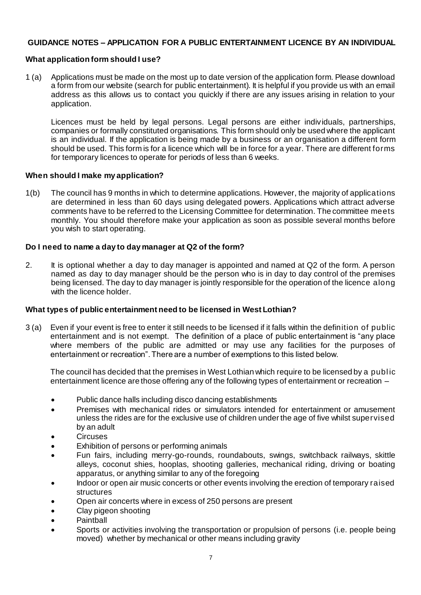## **GUIDANCE NOTES – APPLICATION FOR A PUBLIC ENTERTAINMENT LICENCE BY AN INDIVIDUAL**

## **What application form should I use?**

1 (a) Applications must be made on the most up to date version of the application form. Please download a form from our website (search for public entertainment). It is helpful if you provide us with an email address as this allows us to contact you quickly if there are any issues arising in relation to your application.

Licences must be held by legal persons. Legal persons are either individuals, partnerships, companies or formally constituted organisations. This form should only be used where the applicant is an individual. If the application is being made by a business or an organisation a different form should be used. This form is for a licence which will be in force for a year. There are different forms for temporary licences to operate for periods of less than 6 weeks.

## **When should I make my application?**

1(b) The council has 9 months in which to determine applications. However, the majority of applications are determined in less than 60 days using delegated powers. Applications which attract adverse comments have to be referred to the Licensing Committee for determination. The committee meets monthly. You should therefore make your application as soon as possible several months before you wish to start operating.

## **Do I need to name a day to day manager at Q2 of the form?**

2. It is optional whether a day to day manager is appointed and named at Q2 of the form. A person named as day to day manager should be the person who is in day to day control of the premises being licensed. The day to day manager is jointly responsible for the operation of the licence along with the licence holder.

#### **What types of public entertainment need to be licensed in West Lothian?**

3 (a) Even if your event is free to enter it still needs to be licensed if it falls within the definition of public entertainment and is not exempt. The definition of a place of public entertainment is "any place where members of the public are admitted or may use any facilities for the purposes of entertainment or recreation". There are a number of exemptions to this listed below.

The council has decided that the premises in West Lothian which require to be licensed by a publ ic entertainment licence are those offering any of the following types of entertainment or recreation –

- Public dance halls including disco dancing establishments
- Premises with mechanical rides or simulators intended for entertainment or amusement unless the rides are for the exclusive use of children under the age of five whilst supervised by an adult
- **Circuses**
- Exhibition of persons or performing animals
- Fun fairs, including merry-go-rounds, roundabouts, swings, switchback railways, skittle alleys, coconut shies, hooplas, shooting galleries, mechanical riding, driving or boating apparatus, or anything similar to any of the foregoing
- Indoor or open air music concerts or other events involving the erection of temporary raised structures
- Open air concerts where in excess of 250 persons are present
- Clay pigeon shooting
- **Paintball**
- Sports or activities involving the transportation or propulsion of persons (i.e. people being moved) whether by mechanical or other means including gravity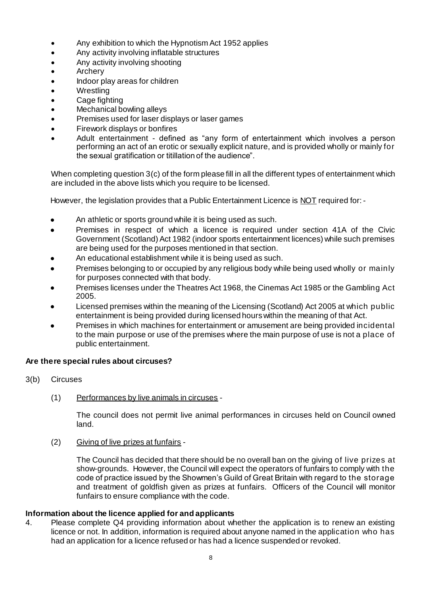- Any exhibition to which the Hypnotism Act 1952 applies
- Any activity involving inflatable structures
- Any activity involving shooting
- Archery
- Indoor play areas for children
- Wrestling
- Cage fighting
- Mechanical bowling alleys
- Premises used for laser displays or laser games
- Firework displays or bonfires
- Adult entertainment defined as "any form of entertainment which involves a person performing an act of an erotic or sexually explicit nature, and is provided wholly or mainly for the sexual gratification or titillation of the audience".

When completing question 3(c) of the form please fill in all the different types of entertainment which are included in the above lists which you require to be licensed.

However, the legislation provides that a Public Entertainment Licence is NOT required for: -

- An athletic or sports ground while it is being used as such.
- Premises in respect of which a licence is required under section 41A of the Civic Government (Scotland) Act 1982 (indoor sports entertainment licences) while such premises are being used for the purposes mentioned in that section.
- An educational establishment while it is being used as such.
- Premises belonging to or occupied by any religious body while being used wholly or mainly for purposes connected with that body.
- Premises licenses under the Theatres Act 1968, the Cinemas Act 1985 or the Gambling Act 2005.
- Licensed premises within the meaning of the Licensing (Scotland) Act 2005 at which public entertainment is being provided during licensed hours within the meaning of that Act.
- Premises in which machines for entertainment or amusement are being provided incidental to the main purpose or use of the premises where the main purpose of use is not a place of public entertainment.

## **Are there special rules about circuses?**

- 3(b) Circuses
	- (1) Performances by live animals in circuses -

The council does not permit live animal performances in circuses held on Council owned land.

## (2) Giving of live prizes at funfairs -

The Council has decided that there should be no overall ban on the giving of live prizes at show-grounds. However, the Council will expect the operators of funfairs to comply with the code of practice issued by the Showmen's Guild of Great Britain with regard to the storage and treatment of goldfish given as prizes at funfairs. Officers of the Council will monitor funfairs to ensure compliance with the code.

## **Information about the licence applied for and applicants**

4. Please complete Q4 providing information about whether the application is to renew an existing licence or not. In addition, information is required about anyone named in the application who has had an application for a licence refused or has had a licence suspended or revoked.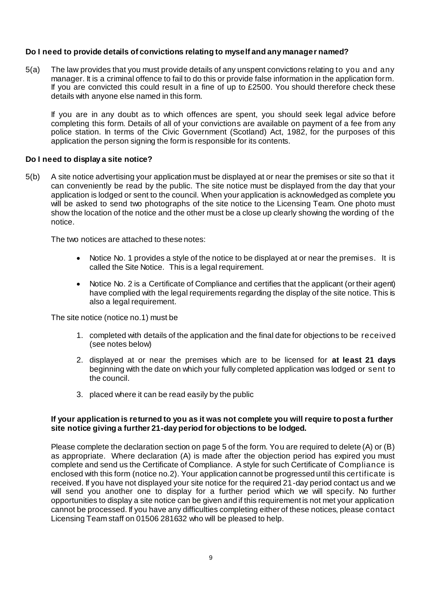## **Do I need to provide details of convictions relating to myself and any manager named?**

5(a) The law provides that you must provide details of any unspent convictions relating to you and any manager. It is a criminal offence to fail to do this or provide false information in the application form. If you are convicted this could result in a fine of up to £2500. You should therefore check these details with anyone else named in this form.

If you are in any doubt as to which offences are spent, you should seek legal advice before completing this form. Details of all of your convictions are available on payment of a fee from any police station. In terms of the Civic Government (Scotland) Act, 1982, for the purposes of this application the person signing the form is responsible for its contents.

## **Do I need to display a site notice?**

5(b) A site notice advertising your application must be displayed at or near the premises or site so that it can conveniently be read by the public. The site notice must be displayed from the day that your application is lodged or sent to the council. When your application is acknowledged as complete you will be asked to send two photographs of the site notice to the Licensing Team. One photo must show the location of the notice and the other must be a close up clearly showing the wording of the notice.

The two notices are attached to these notes:

- Notice No. 1 provides a style of the notice to be displayed at or near the premises. It is called the Site Notice. This is a legal requirement.
- Notice No. 2 is a Certificate of Compliance and certifies that the applicant (or their agent) have complied with the legal requirements regarding the display of the site notice. This is also a legal requirement.

The site notice (notice no.1) must be

- 1. completed with details of the application and the final date for objections to be received (see notes below)
- 2. displayed at or near the premises which are to be licensed for **at least 21 days** beginning with the date on which your fully completed application was lodged or sent to the council.
- 3. placed where it can be read easily by the public

## **If your application is returned to you as it was not complete you will require to post a further site notice giving a further 21-day period for objections to be lodged.**

Please complete the declaration section on page 5 of the form. You are required to delete (A) or (B) as appropriate. Where declaration (A) is made after the objection period has expired you must complete and send us the Certificate of Compliance. A style for such Certificate of Compliance is enclosed with this form (notice no.2). Your application cannot be progressed until this certificate is received. If you have not displayed your site notice for the required 21-day period contact us and we will send you another one to display for a further period which we will specify. No further opportunities to display a site notice can be given and if this requirement is not met your application cannot be processed. If you have any difficulties completing either of these notices, please contact Licensing Team staff on 01506 281632 who will be pleased to help.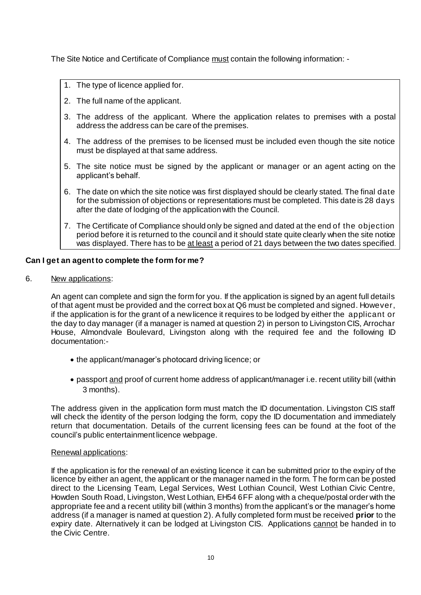The Site Notice and Certificate of Compliance must contain the following information: -

- 1. The type of licence applied for.
- 2. The full name of the applicant.
- 3. The address of the applicant. Where the application relates to premises with a postal address the address can be care of the premises.
- 4. The address of the premises to be licensed must be included even though the site notice must be displayed at that same address.
- 5. The site notice must be signed by the applicant or manager or an agent acting on the applicant's behalf.
- 6. The date on which the site notice was first displayed should be clearly stated. The final date for the submission of objections or representations must be completed. This date is 28 days after the date of lodging of the application with the Council.
- 7. The Certificate of Compliance should only be signed and dated at the end of the objection period before it is returned to the council and it should state quite clearly when the site notice was displayed. There has to be at least a period of 21 days between the two dates specified.

## **Can I get an agent to complete the form for me?**

6. New applications:

An agent can complete and sign the form for you. If the application is signed by an agent full details of that agent must be provided and the correct box at Q6 must be completed and signed. However, if the application is for the grant of a new licence it requires to be lodged by either the applicant or the day to day manager (if a manager is named at question 2) in person to Livingston CIS, Arrochar House, Almondvale Boulevard, Livingston along with the required fee and the following ID documentation:-

- the applicant/manager's photocard driving licence; or
- passport and proof of current home address of applicant/manager i.e. recent utility bill (within 3 months).

The address given in the application form must match the ID documentation. Livingston CIS staff will check the identity of the person lodging the form, copy the ID documentation and immediately return that documentation. Details of the current licensing fees can be found at the foot of the council's public entertainment licence webpage.

## Renewal applications:

If the application is for the renewal of an existing licence it can be submitted prior to the expiry of the licence by either an agent, the applicant or the manager named in the form. The form can be posted direct to the Licensing Team, Legal Services, West Lothian Council, West Lothian Civic Centre, Howden South Road, Livingston, West Lothian, EH54 6FF along with a cheque/postal order with the appropriate fee and a recent utility bill (within 3 months) from the applicant's or the manager's home address (if a manager is named at question 2). A fully completed form must be received **prior** to the expiry date. Alternatively it can be lodged at Livingston CIS. Applications cannot be handed in to the Civic Centre.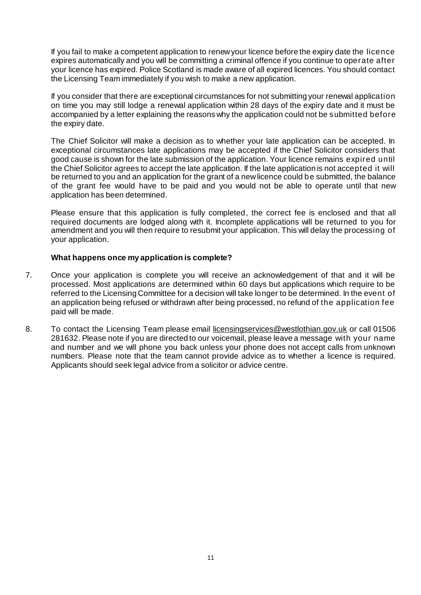If you fail to make a competent application to renew your licence before the expiry date the licence expires automatically and you will be committing a criminal offence if you continue to operate after your licence has expired. Police Scotland is made aware of all expired licences. You should contact the Licensing Team immediately if you wish to make a new application.

If you consider that there are exceptional circumstances for not submitting your renewal application on time you may still lodge a renewal application within 28 days of the expiry date and it must be accompanied by a letter explaining the reasons why the application could not be submitted before the expiry date.

The Chief Solicitor will make a decision as to whether your late application can be accepted. In exceptional circumstances late applications may be accepted if the Chief Solicitor considers that good cause is shown for the late submission of the application. Your licence remains expired until the Chief Solicitor agrees to accept the late application. If the late application is not accepted it will be returned to you and an application for the grant of a new licence could be submitted, the balance of the grant fee would have to be paid and you would not be able to operate until that new application has been determined.

Please ensure that this application is fully completed, the correct fee is enclosed and that all required documents are lodged along with it. Incomplete applications will be returned to you for amendment and you will then require to resubmit your application. This will delay the processing of your application.

## **What happens once my application is complete?**

- 7. Once your application is complete you will receive an acknowledgement of that and it will be processed. Most applications are determined within 60 days but applications which require to be referred to the Licensing Committee for a decision will take longer to be determined. In the event of an application being refused or withdrawn after being processed, no refund of the application fee paid will be made.
- 8. To contact the Licensing Team please email licensingservices@westlothian.gov.uk or call 01506 281632. Please note if you are directed to our voicemail, please leave a message with your name and number and we will phone you back unless your phone does not accept calls from unknown numbers. Please note that the team cannot provide advice as to whether a licence is required. Applicants should seek legal advice from a solicitor or advice centre.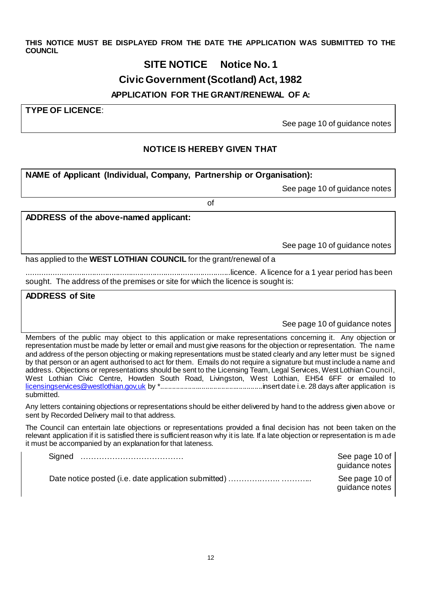**THIS NOTICE MUST BE DISPLAYED FROM THE DATE THE APPLICATION WAS SUBMITTED TO THE COUNCIL**

# **SITE NOTICE Notice No. 1**

# **Civic Government (Scotland) Act, 1982**

# **APPLICATION FOR THE GRANT/RENEWAL OF A:**

**TYPE OF LICENCE**:

See page 10 of guidance notes

## **NOTICE IS HEREBY GIVEN THAT**

**NAME of Applicant (Individual, Company, Partnership or Organisation):** 

See page 10 of guidance notes

of

**ADDRESS of the above-named applicant:**

See page 10 of guidance notes

has applied to the **WEST LOTHIAN COUNCIL** for the grant/renewal of a

..............................................................................................licence. A licence for a 1 year period has been sought. The address of the premises or site for which the licence is sought is:

**ADDRESS of Site**

See page 10 of guidance notes

Members of the public may object to this application or make representations concerning it. Any objection or representation must be made by letter or email and must give reasons for the objection or representation. The name and address of the person objecting or making representations must be stated clearly and any letter must be signed by that person or an agent authorised to act for them. Emails do not require a signature but must include a name and address. Objections or representations should be sent to the Licensing Team, Legal Services, West Lothian Council, West Lothian Civic Centre, Howden South Road, Livingston, West Lothian, EH54 6FF or emailed to [licensingservices@westlothian.gov,uk](mailto:licensingservices@westlothian.gov,uk) by \*....................................................insert date i.e. 28 days after application is submitted.

Any letters containing objections or representations should be either delivered by hand to the address given above or sent by Recorded Delivery mail to that address.

The Council can entertain late objections or representations provided a final decision has not been taken on the relevant application if it is satisfied there is sufficient reason why it is late. If a late objection or representation is m ade it must be accompanied by an explanation for that lateness.

| Signed | See page 10 of<br>guidance notes |
|--------|----------------------------------|
|        | See page 10 of<br>guidance notes |